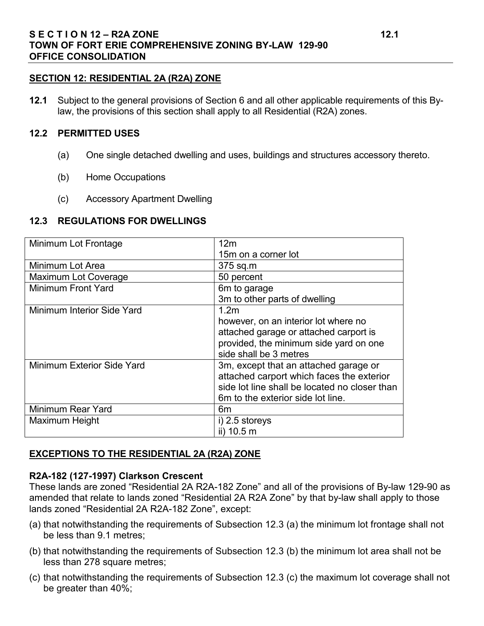#### **SECTION 12: RESIDENTIAL 2A (R2A) ZONE**

**12.1** Subject to the general provisions of Section 6 and all other applicable requirements of this Bylaw, the provisions of this section shall apply to all Residential (R2A) zones.

#### **12.2 PERMITTED USES**

- (a) One single detached dwelling and uses, buildings and structures accessory thereto.
- (b) Home Occupations
- (c) Accessory Apartment Dwelling

#### **12.3 REGULATIONS FOR DWELLINGS**

| Minimum Lot Frontage        | 12 <sub>m</sub>                               |
|-----------------------------|-----------------------------------------------|
|                             | 15m on a corner lot                           |
| Minimum Lot Area            | 375 sq.m                                      |
| <b>Maximum Lot Coverage</b> | 50 percent                                    |
| <b>Minimum Front Yard</b>   | 6m to garage                                  |
|                             | 3m to other parts of dwelling                 |
| Minimum Interior Side Yard  | 1.2 <sub>m</sub>                              |
|                             | however, on an interior lot where no          |
|                             | attached garage or attached carport is        |
|                             | provided, the minimum side yard on one        |
|                             | side shall be 3 metres                        |
| Minimum Exterior Side Yard  | 3m, except that an attached garage or         |
|                             | attached carport which faces the exterior     |
|                             | side lot line shall be located no closer than |
|                             | 6m to the exterior side lot line.             |
| <b>Minimum Rear Yard</b>    | 6m                                            |
| Maximum Height              | i) 2.5 storeys                                |
|                             | ii) 10.5 m                                    |

#### **EXCEPTIONS TO THE RESIDENTIAL 2A (R2A) ZONE**

#### **R2A-182 (127-1997) Clarkson Crescent**

These lands are zoned "Residential 2A R2A-182 Zone" and all of the provisions of By-law 129-90 as amended that relate to lands zoned "Residential 2A R2A Zone" by that by-law shall apply to those lands zoned "Residential 2A R2A-182 Zone", except:

- (a) that notwithstanding the requirements of Subsection 12.3 (a) the minimum lot frontage shall not be less than 9.1 metres;
- (b) that notwithstanding the requirements of Subsection 12.3 (b) the minimum lot area shall not be less than 278 square metres;
- (c) that notwithstanding the requirements of Subsection 12.3 (c) the maximum lot coverage shall not be greater than 40%;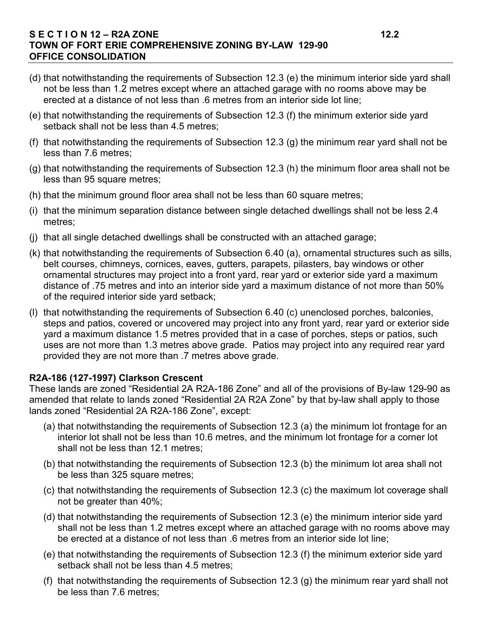### **S E C T I O N 12 – R2A ZONE 12.2 TOWN OF FORT ERIE COMPREHENSIVE ZONING BY-LAW 129-90 OFFICE CONSOLIDATION**

- (d) that notwithstanding the requirements of Subsection 12.3 (e) the minimum interior side yard shall not be less than 1.2 metres except where an attached garage with no rooms above may be erected at a distance of not less than .6 metres from an interior side lot line;
- (e) that notwithstanding the requirements of Subsection 12.3 (f) the minimum exterior side yard setback shall not be less than 4.5 metres;
- (f) that notwithstanding the requirements of Subsection 12.3 (g) the minimum rear yard shall not be less than 7.6 metres;
- (g) that notwithstanding the requirements of Subsection 12.3 (h) the minimum floor area shall not be less than 95 square metres:
- (h) that the minimum ground floor area shall not be less than 60 square metres;
- (i) that the minimum separation distance between single detached dwellings shall not be less 2.4 metres;
- (j) that all single detached dwellings shall be constructed with an attached garage;
- (k) that notwithstanding the requirements of Subsection 6.40 (a), ornamental structures such as sills, belt courses, chimneys, cornices, eaves, gutters, parapets, pilasters, bay windows or other ornamental structures may project into a front yard, rear yard or exterior side yard a maximum distance of .75 metres and into an interior side yard a maximum distance of not more than 50% of the required interior side yard setback;
- (l) that notwithstanding the requirements of Subsection 6.40 (c) unenclosed porches, balconies, steps and patios, covered or uncovered may project into any front yard, rear yard or exterior side yard a maximum distance 1.5 metres provided that in a case of porches, steps or patios, such uses are not more than 1.3 metres above grade. Patios may project into any required rear yard provided they are not more than .7 metres above grade.

## **R2A-186 (127-1997) Clarkson Crescent**

These lands are zoned "Residential 2A R2A-186 Zone" and all of the provisions of By-law 129-90 as amended that relate to lands zoned "Residential 2A R2A Zone" by that by-law shall apply to those lands zoned "Residential 2A R2A-186 Zone", except:

- (a) that notwithstanding the requirements of Subsection 12.3 (a) the minimum lot frontage for an interior lot shall not be less than 10.6 metres, and the minimum lot frontage for a corner lot shall not be less than 12.1 metres;
- (b) that notwithstanding the requirements of Subsection 12.3 (b) the minimum lot area shall not be less than 325 square metres;
- (c) that notwithstanding the requirements of Subsection 12.3 (c) the maximum lot coverage shall not be greater than 40%;
- (d) that notwithstanding the requirements of Subsection 12.3 (e) the minimum interior side yard shall not be less than 1.2 metres except where an attached garage with no rooms above may be erected at a distance of not less than .6 metres from an interior side lot line;
- (e) that notwithstanding the requirements of Subsection 12.3 (f) the minimum exterior side yard setback shall not be less than 4.5 metres;
- (f) that notwithstanding the requirements of Subsection 12.3 (g) the minimum rear yard shall not be less than 7.6 metres;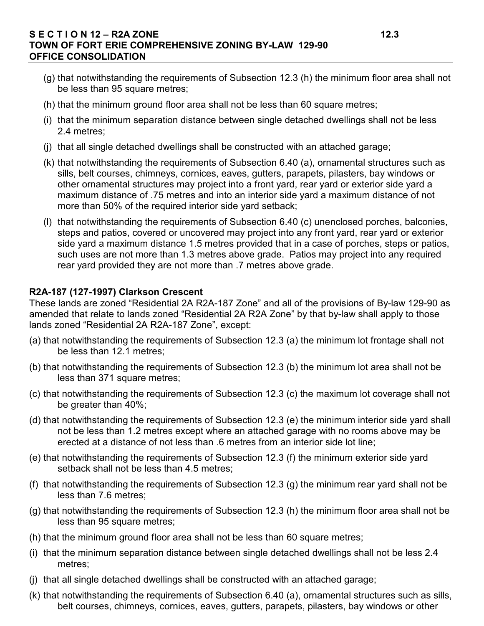### **S E C T I O N 12 – R2A ZONE 12.3 TOWN OF FORT ERIE COMPREHENSIVE ZONING BY-LAW 129-90 OFFICE CONSOLIDATION**

- (g) that notwithstanding the requirements of Subsection 12.3 (h) the minimum floor area shall not be less than 95 square metres;
- (h) that the minimum ground floor area shall not be less than 60 square metres;
- (i) that the minimum separation distance between single detached dwellings shall not be less 2.4 metres;
- (j) that all single detached dwellings shall be constructed with an attached garage;
- (k) that notwithstanding the requirements of Subsection 6.40 (a), ornamental structures such as sills, belt courses, chimneys, cornices, eaves, gutters, parapets, pilasters, bay windows or other ornamental structures may project into a front yard, rear yard or exterior side yard a maximum distance of .75 metres and into an interior side yard a maximum distance of not more than 50% of the required interior side yard setback;
- (l) that notwithstanding the requirements of Subsection 6.40 (c) unenclosed porches, balconies, steps and patios, covered or uncovered may project into any front yard, rear yard or exterior side yard a maximum distance 1.5 metres provided that in a case of porches, steps or patios, such uses are not more than 1.3 metres above grade. Patios may project into any required rear yard provided they are not more than .7 metres above grade.

# **R2A-187 (127-1997) Clarkson Crescent**

These lands are zoned "Residential 2A R2A-187 Zone" and all of the provisions of By-law 129-90 as amended that relate to lands zoned "Residential 2A R2A Zone" by that by-law shall apply to those lands zoned "Residential 2A R2A-187 Zone", except:

- (a) that notwithstanding the requirements of Subsection 12.3 (a) the minimum lot frontage shall not be less than 12.1 metres;
- (b) that notwithstanding the requirements of Subsection 12.3 (b) the minimum lot area shall not be less than 371 square metres;
- (c) that notwithstanding the requirements of Subsection 12.3 (c) the maximum lot coverage shall not be greater than 40%;
- (d) that notwithstanding the requirements of Subsection 12.3 (e) the minimum interior side yard shall not be less than 1.2 metres except where an attached garage with no rooms above may be erected at a distance of not less than .6 metres from an interior side lot line;
- (e) that notwithstanding the requirements of Subsection 12.3 (f) the minimum exterior side yard setback shall not be less than 4.5 metres;
- (f) that notwithstanding the requirements of Subsection 12.3 (g) the minimum rear yard shall not be less than 7.6 metres;
- (g) that notwithstanding the requirements of Subsection 12.3 (h) the minimum floor area shall not be less than 95 square metres;
- (h) that the minimum ground floor area shall not be less than 60 square metres;
- (i) that the minimum separation distance between single detached dwellings shall not be less 2.4 metres;
- (j) that all single detached dwellings shall be constructed with an attached garage;
- (k) that notwithstanding the requirements of Subsection 6.40 (a), ornamental structures such as sills, belt courses, chimneys, cornices, eaves, gutters, parapets, pilasters, bay windows or other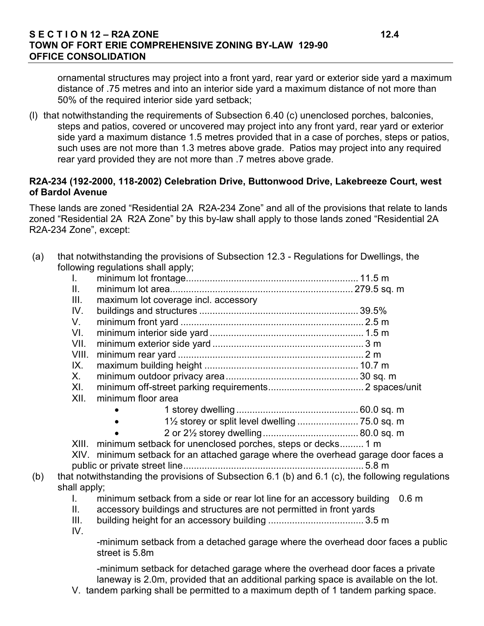#### **S E C T I O N 12 – R2A ZONE 12.4 TOWN OF FORT ERIE COMPREHENSIVE ZONING BY-LAW 129-90 OFFICE CONSOLIDATION**

ornamental structures may project into a front yard, rear yard or exterior side yard a maximum distance of .75 metres and into an interior side yard a maximum distance of not more than 50% of the required interior side yard setback;

(l) that notwithstanding the requirements of Subsection 6.40 (c) unenclosed porches, balconies, steps and patios, covered or uncovered may project into any front yard, rear yard or exterior side yard a maximum distance 1.5 metres provided that in a case of porches, steps or patios, such uses are not more than 1.3 metres above grade. Patios may project into any required rear yard provided they are not more than .7 metres above grade.

#### **R2A-234 (192-2000, 118-2002) Celebration Drive, Buttonwood Drive, Lakebreeze Court, west of Bardol Avenue**

These lands are zoned "Residential 2A R2A-234 Zone" and all of the provisions that relate to lands zoned "Residential 2A R2A Zone" by this by-law shall apply to those lands zoned "Residential 2A R2A-234 Zone", except:

| (a) |              | that notwithstanding the provisions of Subsection 12.3 - Regulations for Dwellings, the          |
|-----|--------------|--------------------------------------------------------------------------------------------------|
|     |              | following regulations shall apply;                                                               |
|     | L.           |                                                                                                  |
|     | II.          |                                                                                                  |
|     | III.         | maximum lot coverage incl. accessory                                                             |
|     | IV.          |                                                                                                  |
|     | V.           |                                                                                                  |
|     | VI.          |                                                                                                  |
|     | VII.         |                                                                                                  |
|     | VIII.        |                                                                                                  |
|     | IX.          |                                                                                                  |
|     | $X_{-}$      |                                                                                                  |
|     | XI.          |                                                                                                  |
|     | XII.         | minimum floor area                                                                               |
|     |              |                                                                                                  |
|     |              | 11/2 storey or split level dwelling  75.0 sq. m                                                  |
|     |              |                                                                                                  |
|     |              | XIII. minimum setback for unenclosed porches, steps or decks 1 m                                 |
|     |              | XIV. minimum setback for an attached garage where the overhead garage door faces a               |
|     |              |                                                                                                  |
| (b) |              | that notwithstanding the provisions of Subsection 6.1 (b) and 6.1 (c), the following regulations |
|     | shall apply; |                                                                                                  |
|     | $\mathbf{L}$ | minimum setback from a side or rear lot line for an accessory building 0.6 m                     |
|     | II.          | accessory buildings and structures are not permitted in front yards                              |
|     | III.         |                                                                                                  |
|     | IV.          |                                                                                                  |
|     |              | -minimum setback from a detached garage where the overhead door faces a public<br>street is 5.8m |

-minimum setback for detached garage where the overhead door faces a private laneway is 2.0m, provided that an additional parking space is available on the lot.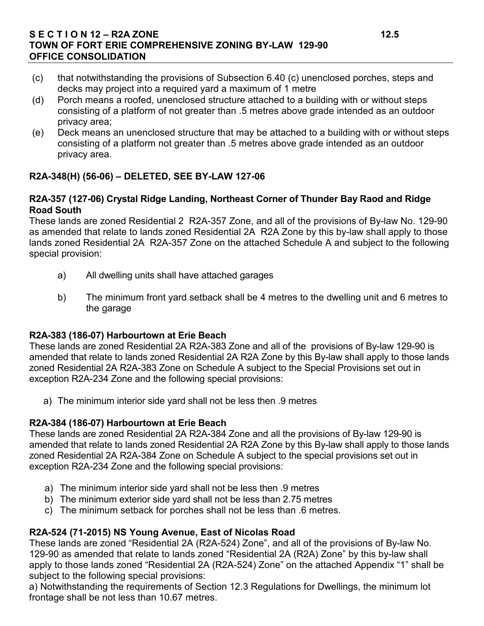### **S E C T I O N 12 – R2A ZONE 12.5 TOWN OF FORT ERIE COMPREHENSIVE ZONING BY-LAW 129-90 OFFICE CONSOLIDATION**

- (c) that notwithstanding the provisions of Subsection 6.40 (c) unenclosed porches, steps and decks may project into a required yard a maximum of 1 metre
- (d) Porch means a roofed, unenclosed structure attached to a building with or without steps consisting of a platform of not greater than .5 metres above grade intended as an outdoor privacy area;
- (e) Deck means an unenclosed structure that may be attached to a building with or without steps consisting of a platform not greater than .5 metres above grade intended as an outdoor privacy area.

# **R2A-348(H) (56-06) – DELETED, SEE BY-LAW 127-06**

### **R2A-357 (127-06) Crystal Ridge Landing, Northeast Corner of Thunder Bay Raod and Ridge Road South**

These lands are zoned Residential 2 R2A-357 Zone, and all of the provisions of By-law No. 129-90 as amended that relate to lands zoned Residential 2A R2A Zone by this by-law shall apply to those lands zoned Residential 2A R2A-357 Zone on the attached Schedule A and subject to the following special provision:

- a) All dwelling units shall have attached garages
- b) The minimum front yard setback shall be 4 metres to the dwelling unit and 6 metres to the garage

## **R2A-383 (186-07) Harbourtown at Erie Beach**

These lands are zoned Residential 2A R2A-383 Zone and all of the provisions of By-law 129-90 is amended that relate to lands zoned Residential 2A R2A Zone by this By-law shall apply to those lands zoned Residential 2A R2A-383 Zone on Schedule A subject to the Special Provisions set out in exception R2A-234 Zone and the following special provisions:

a) The minimum interior side yard shall not be less then .9 metres

## **R2A-384 (186-07) Harbourtown at Erie Beach**

These lands are zoned Residential 2A R2A-384 Zone and all the provisions of By-law 129-90 is amended that relate to lands zoned Residential 2A R2A Zone by this By-law shall apply to those lands zoned Residential 2A R2A-384 Zone on Schedule A subject to the special provisions set out in exception R2A-234 Zone and the following special provisions:

- a) The minimum interior side yard shall not be less then .9 metres
- b) The minimum exterior side yard shall not be less than 2.75 metres
- c) The minimum setback for porches shall not be less than .6 metres.

## **R2A-524 (71-2015) NS Young Avenue, East of Nicolas Road**

These lands are zoned "Residential 2A (R2A-524) Zone", and all of the provisions of By-law No. 129-90 as amended that relate to lands zoned "Residential 2A (R2A) Zone" by this by-law shall apply to those lands zoned "Residential 2A (R2A-524) Zone" on the attached Appendix "1" shall be subject to the following special provisions:

a) Notwithstanding the requirements of Section 12.3 Regulations for Dwellings, the minimum lot frontage shall be not less than 10.67 metres.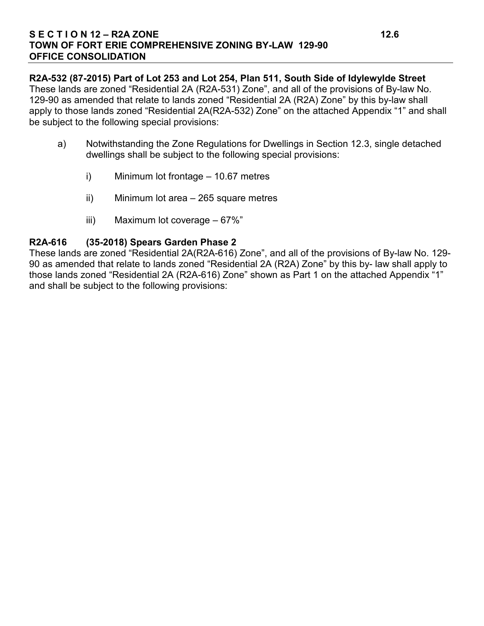#### **S E C T I O N 12 – R2A ZONE 12.6 TOWN OF FORT ERIE COMPREHENSIVE ZONING BY-LAW 129-90 OFFICE CONSOLIDATION**

**R2A-532 (87-2015) Part of Lot 253 and Lot 254, Plan 511, South Side of Idylewylde Street**  These lands are zoned "Residential 2A (R2A-531) Zone", and all of the provisions of By-law No. 129-90 as amended that relate to lands zoned "Residential 2A (R2A) Zone" by this by-law shall apply to those lands zoned "Residential 2A(R2A-532) Zone" on the attached Appendix "1" and shall be subject to the following special provisions:

- a) Notwithstanding the Zone Regulations for Dwellings in Section 12.3, single detached dwellings shall be subject to the following special provisions:
	- i) Minimum lot frontage 10.67 metres
	- ii) Minimum lot area 265 square metres
	- iii) Maximum lot coverage 67%"

### **R2A-616 (35-2018) Spears Garden Phase 2**

These lands are zoned "Residential 2A(R2A-616) Zone", and all of the provisions of By-law No. 129- 90 as amended that relate to lands zoned "Residential 2A (R2A) Zone" by this by- law shall apply to those lands zoned "Residential 2A (R2A-616) Zone" shown as Part 1 on the attached Appendix "1" and shall be subject to the following provisions: